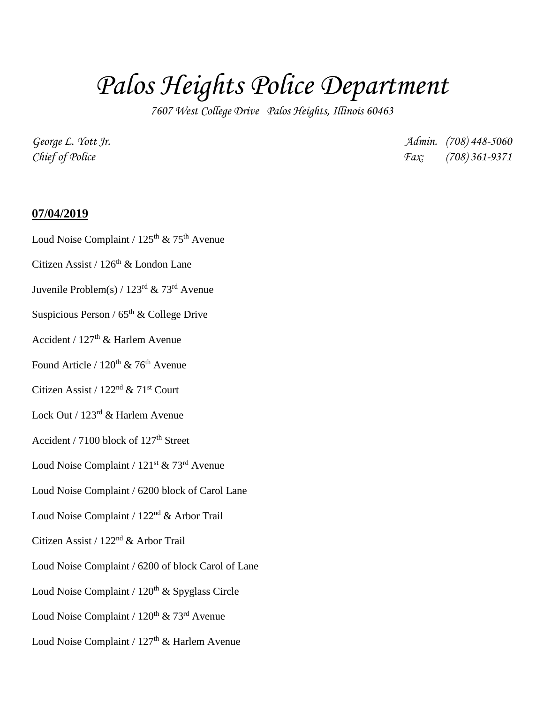# *Palos Heights Police Department*

*7607 West College Drive Palos Heights, Illinois 60463*

*George L. Yott Jr. Admin. (708) 448-5060 Chief of Police Fax: (708) 361-9371*

#### **07/04/2019**

- Loud Noise Complaint /  $125<sup>th</sup>$  &  $75<sup>th</sup>$  Avenue
- Citizen Assist /  $126<sup>th</sup>$  & London Lane
- Juvenile Problem(s) / 123rd & 73rd Avenue
- Suspicious Person /  $65<sup>th</sup>$  & College Drive
- Accident /  $127<sup>th</sup>$  & Harlem Avenue
- Found Article /  $120^{th}$  & 76<sup>th</sup> Avenue
- Citizen Assist /  $122<sup>nd</sup>$  &  $71<sup>st</sup>$  Court
- Lock Out / 123rd & Harlem Avenue
- Accident / 7100 block of  $127<sup>th</sup>$  Street
- Loud Noise Complaint /  $121^{st}$  & 73<sup>rd</sup> Avenue
- Loud Noise Complaint / 6200 block of Carol Lane
- Loud Noise Complaint / 122nd & Arbor Trail
- Citizen Assist / 122nd & Arbor Trail
- Loud Noise Complaint / 6200 of block Carol of Lane
- Loud Noise Complaint /  $120<sup>th</sup>$  & Spyglass Circle
- Loud Noise Complaint /  $120^{th}$  &  $73^{rd}$  Avenue
- Loud Noise Complaint /  $127<sup>th</sup>$  & Harlem Avenue